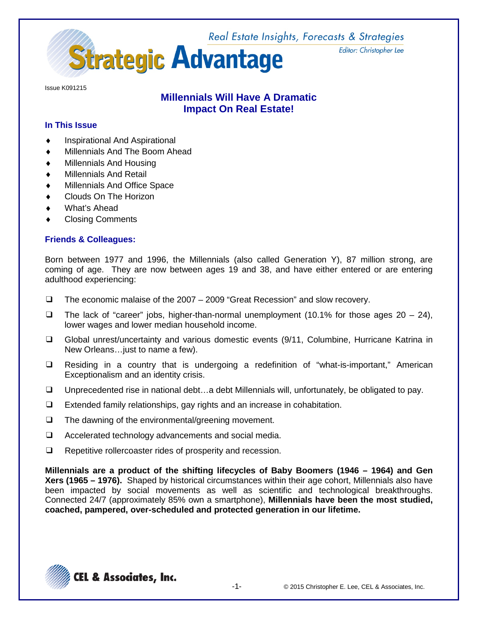

Issue K091215

## **Millennials Will Have A Dramatic Impact On Real Estate!**

### **In This Issue**

- Inspirational And Aspirational
- Millennials And The Boom Ahead
- **Millennials And Housing**
- **Millennials And Retail**
- Millennials And Office Space
- Clouds On The Horizon
- What's Ahead
- **Closing Comments**

### **Friends & Colleagues:**

Born between 1977 and 1996, the Millennials (also called Generation Y), 87 million strong, are coming of age. They are now between ages 19 and 38, and have either entered or are entering adulthood experiencing:

- ❑ The economic malaise of the 2007 2009 "Great Recession" and slow recovery.
- $\Box$  The lack of "career" jobs, higher-than-normal unemployment (10.1% for those ages 20 24), lower wages and lower median household income.
- ❑ Global unrest/uncertainty and various domestic events (9/11, Columbine, Hurricane Katrina in New Orleans…just to name a few).
- ❑ Residing in a country that is undergoing a redefinition of "what-is-important," American Exceptionalism and an identity crisis.
- ❑ Unprecedented rise in national debt…a debt Millennials will, unfortunately, be obligated to pay.
- ❑ Extended family relationships, gay rights and an increase in cohabitation.
- ❑ The dawning of the environmental/greening movement.
- ❑ Accelerated technology advancements and social media.
- ❑ Repetitive rollercoaster rides of prosperity and recession.

**Millennials are a product of the shifting lifecycles of Baby Boomers (1946 – 1964) and Gen Xers (1965 – 1976).** Shaped by historical circumstances within their age cohort, Millennials also have been impacted by social movements as well as scientific and technological breakthroughs. Connected 24/7 (approximately 85% own a smartphone), **Millennials have been the most studied, coached, pampered, over-scheduled and protected generation in our lifetime.**



Editor: Christopher Lee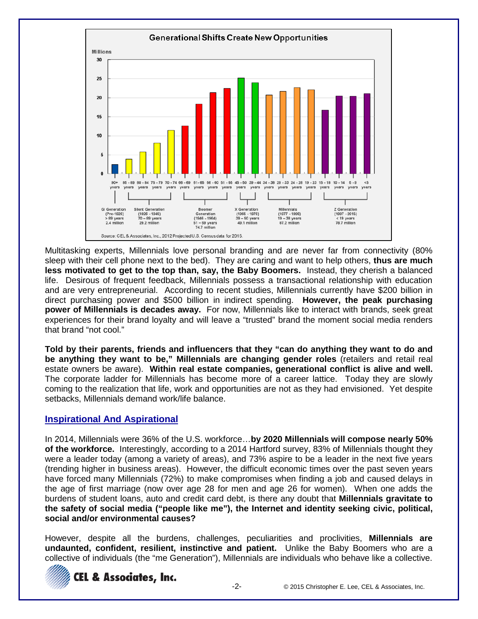

Multitasking experts, Millennials love personal branding and are never far from connectivity (80% sleep with their cell phone next to the bed). They are caring and want to help others, **thus are much less motivated to get to the top than, say, the Baby Boomers.** Instead, they cherish a balanced life. Desirous of frequent feedback, Millennials possess a transactional relationship with education and are very entrepreneurial. According to recent studies, Millennials currently have \$200 billion in direct purchasing power and \$500 billion in indirect spending. **However, the peak purchasing power of Millennials is decades away.** For now, Millennials like to interact with brands, seek great experiences for their brand loyalty and will leave a "trusted" brand the moment social media renders that brand "not cool."

**Told by their parents, friends and influencers that they "can do anything they want to do and be anything they want to be," Millennials are changing gender roles** (retailers and retail real estate owners be aware). **Within real estate companies, generational conflict is alive and well.** The corporate ladder for Millennials has become more of a career lattice. Today they are slowly coming to the realization that life, work and opportunities are not as they had envisioned. Yet despite setbacks, Millennials demand work/life balance.

## **Inspirational And Aspirational**

In 2014, Millennials were 36% of the U.S. workforce…**by 2020 Millennials will compose nearly 50% of the workforce.** Interestingly, according to a 2014 Hartford survey, 83% of Millennials thought they were a leader today (among a variety of areas), and 73% aspire to be a leader in the next five years (trending higher in business areas). However, the difficult economic times over the past seven years have forced many Millennials (72%) to make compromises when finding a job and caused delays in the age of first marriage (now over age 28 for men and age 26 for women). When one adds the burdens of student loans, auto and credit card debt, is there any doubt that **Millennials gravitate to the safety of social media ("people like me"), the Internet and identity seeking civic, political, social and/or environmental causes?**

However, despite all the burdens, challenges, peculiarities and proclivities, **Millennials are undaunted, confident, resilient, instinctive and patient.** Unlike the Baby Boomers who are a collective of individuals (the "me Generation"), Millennials are individuals who behave like a collective.

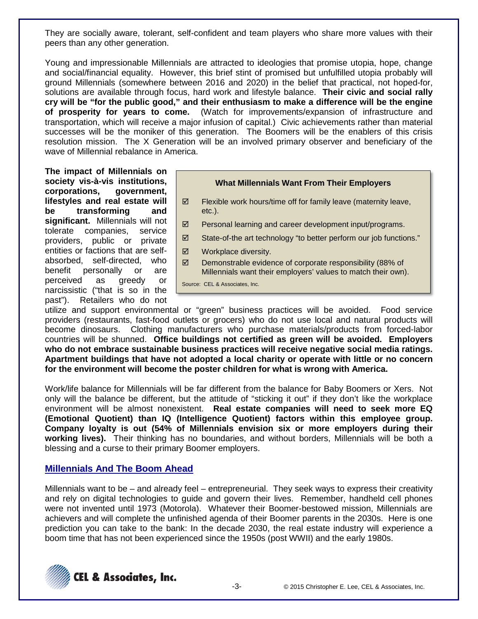They are socially aware, tolerant, self-confident and team players who share more values with their peers than any other generation.

Young and impressionable Millennials are attracted to ideologies that promise utopia, hope, change and social/financial equality. However, this brief stint of promised but unfulfilled utopia probably will ground Millennials (somewhere between 2016 and 2020) in the belief that practical, not hoped-for, solutions are available through focus, hard work and lifestyle balance. **Their civic and social rally cry will be "for the public good," and their enthusiasm to make a difference will be the engine of prosperity for years to come.** (Watch for improvements/expansion of infrastructure and transportation, which will receive a major infusion of capital.) Civic achievements rather than material successes will be the moniker of this generation. The Boomers will be the enablers of this crisis resolution mission. The X Generation will be an involved primary observer and beneficiary of the wave of Millennial rebalance in America.

**The impact of Millennials on society vis-à-vis institutions, corporations, government, lifestyles and real estate will be transforming and significant.** Millennials will not tolerate companies, service providers, public or private entities or factions that are selfabsorbed, self-directed, who benefit personally or are perceived as greedy or narcissistic ("that is so in the past"). Retailers who do not



- $\boxtimes$  Flexible work hours/time off for family leave (maternity leave, etc.).
- $\boxtimes$  Personal learning and career development input/programs.
- $\boxtimes$  State-of-the art technology "to better perform our job functions."
- Workplace diversity.
- $\boxtimes$  Demonstrable evidence of corporate responsibility (88% of Millennials want their employers' values to match their own).

Source: CEL & Associates, Inc.

utilize and support environmental or "green" business practices will be avoided. Food service providers (restaurants, fast-food outlets or grocers) who do not use local and natural products will become dinosaurs. Clothing manufacturers who purchase materials/products from forced-labor countries will be shunned. **Office buildings not certified as green will be avoided. Employers who do not embrace sustainable business practices will receive negative social media ratings. Apartment buildings that have not adopted a local charity or operate with little or no concern for the environment will become the poster children for what is wrong with America.**

Work/life balance for Millennials will be far different from the balance for Baby Boomers or Xers. Not only will the balance be different, but the attitude of "sticking it out" if they don't like the workplace environment will be almost nonexistent. **Real estate companies will need to seek more EQ (Emotional Quotient) than IQ (Intelligence Quotient) factors within this employee group. Company loyalty is out (54% of Millennials envision six or more employers during their working lives).** Their thinking has no boundaries, and without borders, Millennials will be both a blessing and a curse to their primary Boomer employers.

## **Millennials And The Boom Ahead**

Millennials want to be – and already feel – entrepreneurial. They seek ways to express their creativity and rely on digital technologies to guide and govern their lives. Remember, handheld cell phones were not invented until 1973 (Motorola). Whatever their Boomer-bestowed mission, Millennials are achievers and will complete the unfinished agenda of their Boomer parents in the 2030s. Here is one prediction you can take to the bank: In the decade 2030, the real estate industry will experience a boom time that has not been experienced since the 1950s (post WWII) and the early 1980s.

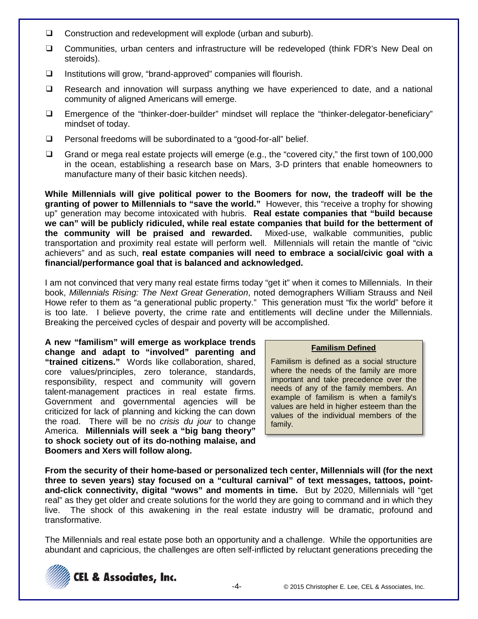- ❑ Construction and redevelopment will explode (urban and suburb).
- ❑ Communities, urban centers and infrastructure will be redeveloped (think FDR's New Deal on steroids).
- ❑ Institutions will grow, "brand-approved" companies will flourish.
- ❑ Research and innovation will surpass anything we have experienced to date, and a national community of aligned Americans will emerge.
- ❑ Emergence of the "thinker-doer-builder" mindset will replace the "thinker-delegator-beneficiary" mindset of today.
- ❑ Personal freedoms will be subordinated to a "good-for-all" belief.
- ❑ Grand or mega real estate projects will emerge (e.g., the "covered city," the first town of 100,000 in the ocean, establishing a research base on Mars, 3-D printers that enable homeowners to manufacture many of their basic kitchen needs).

**While Millennials will give political power to the Boomers for now, the tradeoff will be the granting of power to Millennials to "save the world."** However, this "receive a trophy for showing up" generation may become intoxicated with hubris. **Real estate companies that "build because we can" will be publicly ridiculed, while real estate companies that build for the betterment of the community will be praised and rewarded.** Mixed-use, walkable communities, public transportation and proximity real estate will perform well. Millennials will retain the mantle of "civic achievers" and as such, **real estate companies will need to embrace a social/civic goal with a financial/performance goal that is balanced and acknowledged.**

I am not convinced that very many real estate firms today "get it" when it comes to Millennials. In their book, *Millennials Rising: The Next Great Generation*, noted demographers William Strauss and Neil Howe refer to them as "a generational public property." This generation must "fix the world" before it is too late. I believe poverty, the crime rate and entitlements will decline under the Millennials. Breaking the perceived cycles of despair and poverty will be accomplished.

**A new "familism" will emerge as workplace trends change and adapt to "involved" parenting and "trained citizens."** Words like collaboration, shared, core values/principles, zero tolerance, standards, responsibility, respect and community will govern talent-management practices in real estate firms. Government and governmental agencies will be criticized for lack of planning and kicking the can down the road. There will be no *crisis du jour* to change America. **Millennials will seek a "big bang theory" to shock society out of its do-nothing malaise, and Boomers and Xers will follow along.**

### **Familism Defined**

Familism is defined as a social structure where the needs of the family are more important and take precedence over the needs of any of the family members. An example of familism is when a family's values are held in higher esteem than the values of the individual members of the family.

**From the security of their home-based or personalized tech center, Millennials will (for the next three to seven years) stay focused on a "cultural carnival" of text messages, tattoos, pointand-click connectivity, digital "wows" and moments in time.** But by 2020, Millennials will "get real" as they get older and create solutions for the world they are going to command and in which they live. The shock of this awakening in the real estate industry will be dramatic, profound and transformative.

The Millennials and real estate pose both an opportunity and a challenge. While the opportunities are abundant and capricious, the challenges are often self-inflicted by reluctant generations preceding the

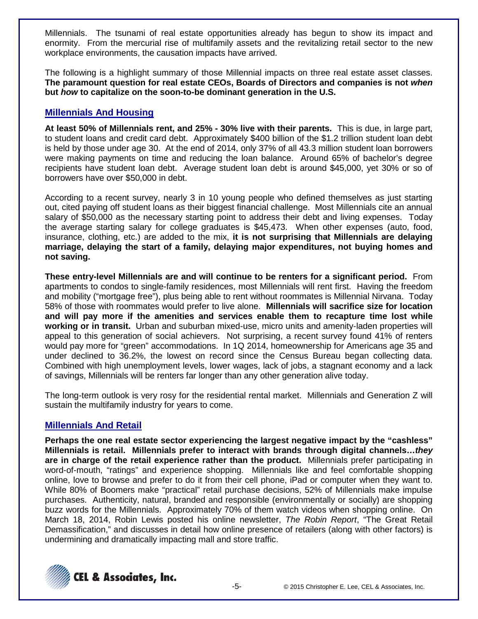Millennials. The tsunami of real estate opportunities already has begun to show its impact and enormity. From the mercurial rise of multifamily assets and the revitalizing retail sector to the new workplace environments, the causation impacts have arrived.

The following is a highlight summary of those Millennial impacts on three real estate asset classes. **The paramount question for real estate CEOs, Boards of Directors and companies is not** *when*  **but** *how* **to capitalize on the soon-to-be dominant generation in the U.S.**

## **Millennials And Housing**

**At least 50% of Millennials rent, and 25% - 30% live with their parents.** This is due, in large part, to student loans and credit card debt. Approximately \$400 billion of the \$1.2 trillion student loan debt is held by those under age 30. At the end of 2014, only 37% of all 43.3 million student loan borrowers were making payments on time and reducing the loan balance. Around 65% of bachelor's degree recipients have student loan debt. Average student loan debt is around \$45,000, yet 30% or so of borrowers have over \$50,000 in debt.

According to a recent survey, nearly 3 in 10 young people who defined themselves as just starting out, cited paying off student loans as their biggest financial challenge. Most Millennials cite an annual salary of \$50,000 as the necessary starting point to address their debt and living expenses. Today the average starting salary for college graduates is \$45,473. When other expenses (auto, food, insurance, clothing, etc.) are added to the mix, **it is not surprising that Millennials are delaying marriage, delaying the start of a family, delaying major expenditures, not buying homes and not saving.**

**These entry-level Millennials are and will continue to be renters for a significant period.** From apartments to condos to single-family residences, most Millennials will rent first. Having the freedom and mobility ("mortgage free"), plus being able to rent without roommates is Millennial Nirvana. Today 58% of those with roommates would prefer to live alone. **Millennials will sacrifice size for location and will pay more if the amenities and services enable them to recapture time lost while working or in transit.** Urban and suburban mixed-use, micro units and amenity-laden properties will appeal to this generation of social achievers. Not surprising, a recent survey found 41% of renters would pay more for "green" accommodations. In 1Q 2014, homeownership for Americans age 35 and under declined to 36.2%, the lowest on record since the Census Bureau began collecting data. Combined with high unemployment levels, lower wages, lack of jobs, a stagnant economy and a lack of savings, Millennials will be renters far longer than any other generation alive today.

The long-term outlook is very rosy for the residential rental market. Millennials and Generation Z will sustain the multifamily industry for years to come.

## **Millennials And Retail**

**Perhaps the one real estate sector experiencing the largest negative impact by the "cashless" Millennials is retail. Millennials prefer to interact with brands through digital channels…***they* **are in charge of the retail experience rather than the product.** Millennials prefer participating in word-of-mouth, "ratings" and experience shopping. Millennials like and feel comfortable shopping online, love to browse and prefer to do it from their cell phone, iPad or computer when they want to. While 80% of Boomers make "practical" retail purchase decisions, 52% of Millennials make impulse purchases. Authenticity, natural, branded and responsible (environmentally or socially) are shopping buzz words for the Millennials. Approximately 70% of them watch videos when shopping online. On March 18, 2014, Robin Lewis posted his online newsletter, *The Robin Report*, "The Great Retail Demassification," and discusses in detail how online presence of retailers (along with other factors) is undermining and dramatically impacting mall and store traffic.

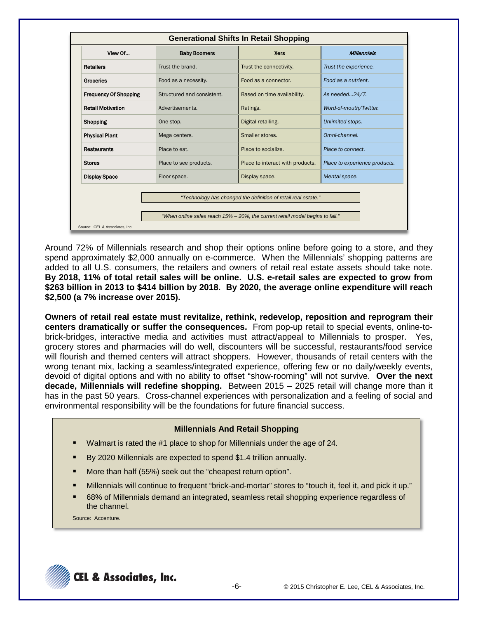| View Of                      | <b>Baby Boomers</b>        | <b>Xers</b>                                                    | <b>Millennials</b>            |
|------------------------------|----------------------------|----------------------------------------------------------------|-------------------------------|
| <b>Retailers</b>             | Trust the brand.           | Trust the connectivity.                                        | Trust the experience.         |
| Groceries                    | Food as a necessity.       | Food as a connector.                                           | Food as a nutrient.           |
| <b>Frequency Of Shopping</b> | Structured and consistent. | Based on time availability.                                    | As needed24/7.                |
| <b>Retail Motivation</b>     | Advertisements.            | Ratings.                                                       | Word-of-mouth/Twitter.        |
| Shopping                     | One stop.                  | Digital retailing.                                             | Unlimited stops.              |
| <b>Physical Plant</b>        | Mega centers.              | Smaller stores.                                                | Omni-channel.                 |
| <b>Restaurants</b>           | Place to eat.              | Place to socialize.                                            | Place to connect.             |
| <b>Stores</b>                | Place to see products.     | Place to interact with products.                               | Place to experience products. |
| <b>Display Space</b>         | Floor space.               | Display space.                                                 | Mental space.                 |
|                              |                            | "Technology has changed the definition of retail real estate." |                               |

Around 72% of Millennials research and shop their options online before going to a store, and they spend approximately \$2,000 annually on e-commerce. When the Millennials' shopping patterns are added to all U.S. consumers, the retailers and owners of retail real estate assets should take note. **By 2018, 11% of total retail sales will be online. U.S. e-retail sales are expected to grow from \$263 billion in 2013 to \$414 billion by 2018. By 2020, the average online expenditure will reach \$2,500 (a 7% increase over 2015).**

**Owners of retail real estate must revitalize, rethink, redevelop, reposition and reprogram their centers dramatically or suffer the consequences.** From pop-up retail to special events, online-tobrick-bridges, interactive media and activities must attract/appeal to Millennials to prosper. Yes, grocery stores and pharmacies will do well, discounters will be successful, restaurants/food service will flourish and themed centers will attract shoppers. However, thousands of retail centers with the wrong tenant mix, lacking a seamless/integrated experience, offering few or no daily/weekly events, devoid of digital options and with no ability to offset "show-rooming" will not survive. **Over the next decade, Millennials will redefine shopping.** Between 2015 – 2025 retail will change more than it has in the past 50 years. Cross-channel experiences with personalization and a feeling of social and environmental responsibility will be the foundations for future financial success.

### **Millennials And Retail Shopping**

- Walmart is rated the #1 place to shop for Millennials under the age of 24.
- By 2020 Millennials are expected to spend \$1.4 trillion annually.
- More than half (55%) seek out the "cheapest return option".
- Millennials will continue to frequent "brick-and-mortar" stores to "touch it, feel it, and pick it up."
- 68% of Millennials demand an integrated, seamless retail shopping experience regardless of the channel.

Source: Accenture.

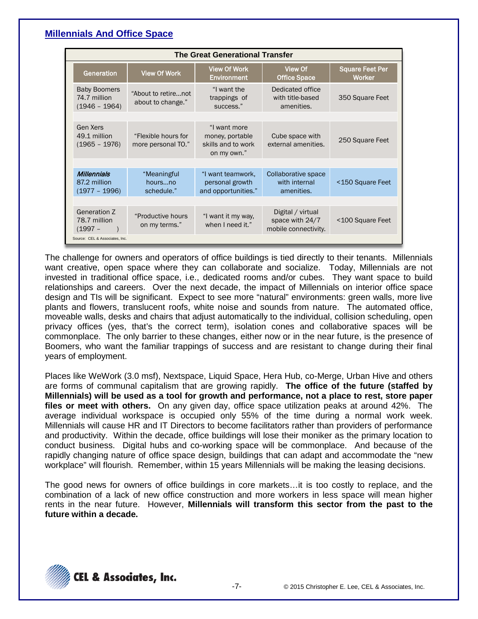## **Millennials And Office Space**

| <b>The Great Generational Transfer</b>                 |                                           |                                                                      |                                                              |                                         |  |  |
|--------------------------------------------------------|-------------------------------------------|----------------------------------------------------------------------|--------------------------------------------------------------|-----------------------------------------|--|--|
| Generation                                             | <b>View Of Work</b>                       | <b>View Of Work</b><br><b>Environment</b>                            | View Of<br><b>Office Space</b>                               | <b>Square Feet Per</b><br><b>Worker</b> |  |  |
| <b>Baby Boomers</b><br>74.7 million<br>$(1946 - 1964)$ | "About to retirenot<br>about to change."  | "I want the<br>trappings of<br>success."                             | Dedicated office<br>with title-based<br>amenities.           | 350 Square Feet                         |  |  |
|                                                        |                                           |                                                                      |                                                              |                                         |  |  |
| Gen Xers<br>49.1 million<br>$(1965 - 1976)$            | "Flexible hours for<br>more personal TO." | "I want more<br>money, portable<br>skills and to work<br>on my own." | Cube space with<br>external amenities.                       | 250 Square Feet                         |  |  |
|                                                        |                                           |                                                                      |                                                              |                                         |  |  |
| <b>Millennials</b><br>87.2 million<br>$(1977 - 1996)$  | "Meaningful<br>hoursno<br>schedule."      | "I want teamwork,<br>personal growth<br>and opportunities."          | Collaborative space<br>with internal<br>amenities.           | <150 Square Feet                        |  |  |
|                                                        |                                           |                                                                      |                                                              |                                         |  |  |
| Generation Z<br>78.7 million<br>$(1997 -$              | "Productive hours<br>on my terms."        | "I want it my way,<br>when I need it."                               | Digital / virtual<br>space with 24/7<br>mobile connectivity. | <100 Square Feet                        |  |  |
| Source: CEL & Associates, Inc.                         |                                           |                                                                      |                                                              |                                         |  |  |

The challenge for owners and operators of office buildings is tied directly to their tenants. Millennials want creative, open space where they can collaborate and socialize. Today, Millennials are not invested in traditional office space, i.e., dedicated rooms and/or cubes. They want space to build relationships and careers. Over the next decade, the impact of Millennials on interior office space design and TIs will be significant. Expect to see more "natural" environments: green walls, more live plants and flowers, translucent roofs, white noise and sounds from nature. The automated office, moveable walls, desks and chairs that adjust automatically to the individual, collision scheduling, open privacy offices (yes, that's the correct term), isolation cones and collaborative spaces will be commonplace. The only barrier to these changes, either now or in the near future, is the presence of Boomers, who want the familiar trappings of success and are resistant to change during their final years of employment.

Places like WeWork (3.0 msf), Nextspace, Liquid Space, Hera Hub, co-Merge, Urban Hive and others are forms of communal capitalism that are growing rapidly. **The office of the future (staffed by Millennials) will be used as a tool for growth and performance, not a place to rest, store paper files or meet with others.** On any given day, office space utilization peaks at around 42%. The average individual workspace is occupied only 55% of the time during a normal work week. Millennials will cause HR and IT Directors to become facilitators rather than providers of performance and productivity. Within the decade, office buildings will lose their moniker as the primary location to conduct business. Digital hubs and co-working space will be commonplace. And because of the rapidly changing nature of office space design, buildings that can adapt and accommodate the "new workplace" will flourish. Remember, within 15 years Millennials will be making the leasing decisions.

The good news for owners of office buildings in core markets…it is too costly to replace, and the combination of a lack of new office construction and more workers in less space will mean higher rents in the near future. However, **Millennials will transform this sector from the past to the future within a decade.**

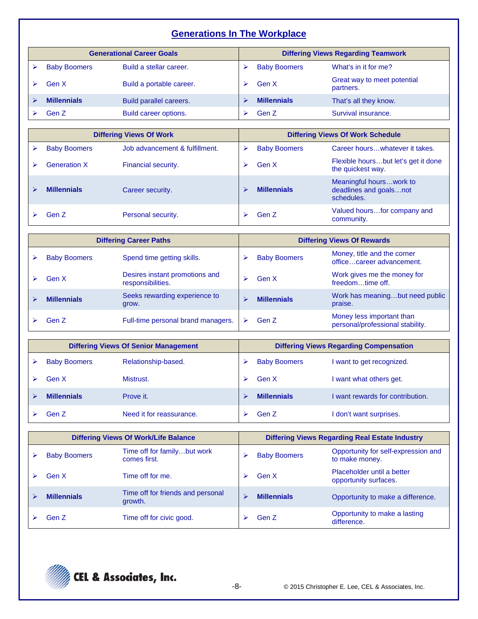# **Generations In The Workplace**

| <b>Generational Career Goals</b> |                     | <b>Differing Views Regarding Teamwork</b> |  |                     |                                          |
|----------------------------------|---------------------|-------------------------------------------|--|---------------------|------------------------------------------|
|                                  | <b>Baby Boomers</b> | Build a stellar career.                   |  | <b>Baby Boomers</b> | What's in it for me?                     |
|                                  | Gen X               | Build a portable career.                  |  | Gen X               | Great way to meet potential<br>partners. |
|                                  | <b>Millennials</b>  | Build parallel careers.                   |  | <b>Millennials</b>  | That's all they know.                    |
|                                  | Gen Z               | Build career options.                     |  | Gen Z               | Survival insurance.                      |

| <b>Differing Views Of Work</b> |                     |                                | <b>Differing Views Of Work Schedule</b> |                     |                                                                 |
|--------------------------------|---------------------|--------------------------------|-----------------------------------------|---------------------|-----------------------------------------------------------------|
|                                | <b>Baby Boomers</b> | Job advancement & fulfillment. |                                         | <b>Baby Boomers</b> | Career hourswhatever it takes.                                  |
|                                | <b>Generation X</b> | Financial security.            |                                         | Gen X               | Flexible hoursbut let's get it done<br>the quickest way.        |
|                                | <b>Millennials</b>  | Career security.               |                                         | <b>Millennials</b>  | Meaningful hourswork to<br>deadlines and goalsnot<br>schedules. |
|                                | Gen Z               | Personal security.             |                                         | Gen Z               | Valued hoursfor company and<br>community.                       |

| <b>Differing Career Paths</b> |                     |                                                     | <b>Differing Views Of Rewards</b> |                     |                                                               |
|-------------------------------|---------------------|-----------------------------------------------------|-----------------------------------|---------------------|---------------------------------------------------------------|
|                               | <b>Baby Boomers</b> | Spend time getting skills.                          |                                   | <b>Baby Boomers</b> | Money, title and the corner<br>officecareer advancement.      |
|                               | Gen X               | Desires instant promotions and<br>responsibilities. |                                   | Gen X               | Work gives me the money for<br>freedomtime off.               |
|                               | <b>Millennials</b>  | Seeks rewarding experience to<br>grow.              |                                   | <b>Millennials</b>  | Work has meaningbut need public<br>praise.                    |
|                               | Gen Z               | Full-time personal brand managers.                  |                                   | Gen Z               | Money less important than<br>personal/professional stability. |

| <b>Differing Views Of Senior Management</b> |                          |  | <b>Differing Views Regarding Compensation</b> |                                  |  |
|---------------------------------------------|--------------------------|--|-----------------------------------------------|----------------------------------|--|
| <b>Baby Boomers</b>                         | Relationship-based.      |  | <b>Baby Boomers</b>                           | I want to get recognized.        |  |
| Gen X                                       | Mistrust.                |  | Gen X                                         | I want what others get.          |  |
| <b>Millennials</b>                          | Prove it.                |  | <b>Millennials</b>                            | I want rewards for contribution. |  |
| Gen Z                                       | Need it for reassurance. |  | Gen Z                                         | I don't want surprises.          |  |

| <b>Differing Views Of Work/Life Balance</b> |                     |                                              | <b>Differing Views Regarding Real Estate Industry</b> |                     |                                                       |
|---------------------------------------------|---------------------|----------------------------------------------|-------------------------------------------------------|---------------------|-------------------------------------------------------|
|                                             | <b>Baby Boomers</b> | Time off for familybut work<br>comes first.  | ↘                                                     | <b>Baby Boomers</b> | Opportunity for self-expression and<br>to make money. |
|                                             | Gen X               | Time off for me.                             |                                                       | Gen X               | Placeholder until a better<br>opportunity surfaces.   |
|                                             | <b>Millennials</b>  | Time off for friends and personal<br>growth. |                                                       | <b>Millennials</b>  | Opportunity to make a difference.                     |
|                                             | Gen Z               | Time off for civic good.                     |                                                       | Gen Z               | Opportunity to make a lasting<br>difference.          |

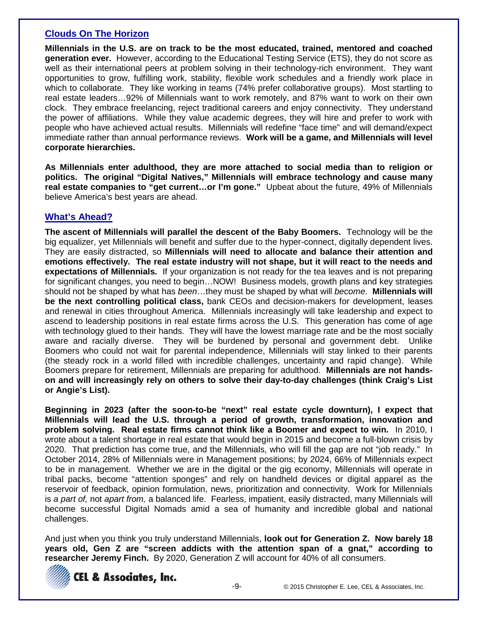## **Clouds On The Horizon**

**Millennials in the U.S. are on track to be the most educated, trained, mentored and coached generation ever.** However, according to the Educational Testing Service (ETS), they do not score as well as their international peers at problem solving in their technology-rich environment. They want opportunities to grow, fulfilling work, stability, flexible work schedules and a friendly work place in which to collaborate. They like working in teams (74% prefer collaborative groups). Most startling to real estate leaders…92% of Millennials want to work remotely, and 87% want to work on their own clock. They embrace freelancing, reject traditional careers and enjoy connectivity. They understand the power of affiliations. While they value academic degrees, they will hire and prefer to work with people who have achieved actual results. Millennials will redefine "face time" and will demand/expect immediate rather than annual performance reviews. **Work will be a game, and Millennials will level corporate hierarchies.**

**As Millennials enter adulthood, they are more attached to social media than to religion or politics. The original "Digital Natives," Millennials will embrace technology and cause many real estate companies to "get current…or I'm gone."** Upbeat about the future, 49% of Millennials believe America's best years are ahead.

## **What's Ahead?**

**The ascent of Millennials will parallel the descent of the Baby Boomers.** Technology will be the big equalizer, yet Millennials will benefit and suffer due to the hyper-connect, digitally dependent lives. They are easily distracted, so **Millennials will need to allocate and balance their attention and emotions effectively. The real estate industry will not shape, but it will react to the needs and expectations of Millennials.** If your organization is not ready for the tea leaves and is not preparing for significant changes, you need to begin…NOW! Business models, growth plans and key strategies should not be shaped by what has *been*…they must be shaped by what will *become*. **Millennials will be the next controlling political class,** bank CEOs and decision-makers for development, leases and renewal in cities throughout America. Millennials increasingly will take leadership and expect to ascend to leadership positions in real estate firms across the U.S. This generation has come of age with technology glued to their hands. They will have the lowest marriage rate and be the most socially aware and racially diverse. They will be burdened by personal and government debt. Unlike Boomers who could not wait for parental independence, Millennials will stay linked to their parents (the steady rock in a world filled with incredible challenges, uncertainty and rapid change). While Boomers prepare for retirement, Millennials are preparing for adulthood. **Millennials are not handson and will increasingly rely on others to solve their day-to-day challenges (think Craig's List or Angie's List).**

**Beginning in 2023 (after the soon-to-be "next" real estate cycle downturn), I expect that Millennials will lead the U.S. through a period of growth, transformation, innovation and problem solving. Real estate firms cannot think like a Boomer and expect to win.** In 2010, I wrote about a talent shortage in real estate that would begin in 2015 and become a full-blown crisis by 2020. That prediction has come true, and the Millennials, who will fill the gap are not "job ready." In October 2014, 28% of Millennials were in Management positions; by 2024, 66% of Millennials expect to be in management. Whether we are in the digital or the gig economy, Millennials will operate in tribal packs, become "attention sponges" and rely on handheld devices or digital apparel as the reservoir of feedback, opinion formulation, news, prioritization and connectivity. Work for Millennials is *a part of,* not *apart from,* a balanced life. Fearless, impatient, easily distracted, many Millennials will become successful Digital Nomads amid a sea of humanity and incredible global and national challenges.

And just when you think you truly understand Millennials, **look out for Generation Z. Now barely 18 years old, Gen Z are "screen addicts with the attention span of a gnat," according to researcher Jeremy Finch.** By 2020, Generation Z will account for 40% of all consumers.



**CEL & Associates, Inc.**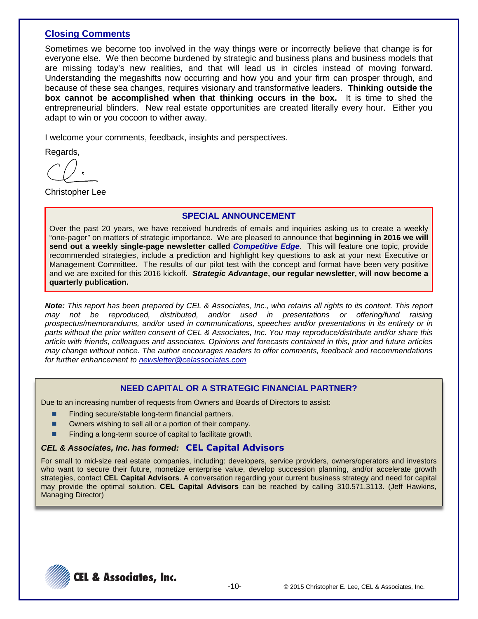## **Closing Comments**

Sometimes we become too involved in the way things were or incorrectly believe that change is for everyone else. We then become burdened by strategic and business plans and business models that are missing today's new realities, and that will lead us in circles instead of moving forward. Understanding the megashifts now occurring and how you and your firm can prosper through, and because of these sea changes, requires visionary and transformative leaders. **Thinking outside the box cannot be accomplished when that thinking occurs in the box.** It is time to shed the entrepreneurial blinders. New real estate opportunities are created literally every hour. Either you adapt to win or you cocoon to wither away.

I welcome your comments, feedback, insights and perspectives.

Regards,

Christopher Lee

### **SPECIAL ANNOUNCEMENT**

Over the past 20 years, we have received hundreds of emails and inquiries asking us to create a weekly "one-pager" on matters of strategic importance. We are pleased to announce that **beginning in 2016 we will send out a weekly single-page newsletter called** *Competitive Edge*. This will feature one topic, provide recommended strategies, include a prediction and highlight key questions to ask at your next Executive or Management Committee. The results of our pilot test with the concept and format have been very positive and we are excited for this 2016 kickoff. *Strategic Advantage***, our regular newsletter, will now become a quarterly publication.** 

*Note: This report has been prepared by CEL & Associates, Inc., who retains all rights to its content. This report*  distributed, and/or used in presentations or offering/fund raising *prospectus/memorandums, and/or used in communications, speeches and/or presentations in its entirety or in parts without the prior written consent of CEL & Associates, Inc. You may reproduce/distribute and/or share this article with friends, colleagues and associates. Opinions and forecasts contained in this, prior and future articles may change without notice. The author encourages readers to offer comments, feedback and recommendations for further enhancement to [newsletter@celassociates.com](mailto:newsletter@celassociates.com)*

### **NEED CAPITAL OR A STRATEGIC FINANCIAL PARTNER?**

Due to an increasing number of requests from Owners and Boards of Directors to assist:

- Finding secure/stable long-term financial partners.
- Owners wishing to sell all or a portion of their company.
- **Finding a long-term source of capital to facilitate growth.**

### *CEL & Associates, Inc. has formed:* **CEL Capital Advisors**

For small to mid-size real estate companies, including: developers, service providers, owners/operators and investors who want to secure their future, monetize enterprise value, develop succession planning, and/or accelerate growth strategies, contact **CEL Capital Advisors**. A conversation regarding your current business strategy and need for capital may provide the optimal solution. **CEL Capital Advisors** can be reached by calling 310.571.3113. (Jeff Hawkins, Managing Director)

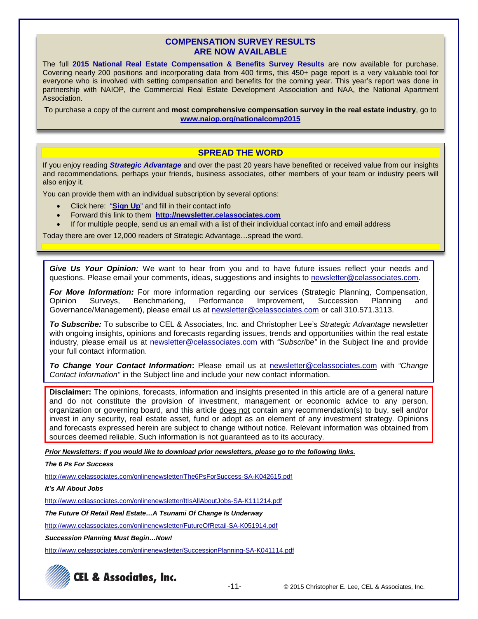### **COMPENSATION SURVEY RESULTS ARE NOW AVAILABLE**

The full **2015 National Real Estate Compensation & Benefits Survey Results** are now available for purchase. Covering nearly 200 positions and incorporating data from 400 firms, this 450+ page report is a very valuable tool for everyone who is involved with setting compensation and benefits for the coming year. This year's report was done in partnership with NAIOP, the Commercial Real Estate Development Association and NAA, the National Apartment Association.

To purchase a copy of the current and **most comprehensive compensation survey in the real estate industry**, go to **[www.naiop.org/nationalcomp2015](http://www.naiop.org/nationalcomp2015)**

### **SPREAD THE WORD**

If you enjoy reading *Strategic Advantage* and over the past 20 years have benefited or received value from our insights and recommendations, perhaps your friends, business associates, other members of your team or industry peers will also enjoy it.

You can provide them with an individual subscription by several options:

- Click here: "**[Sign Up](http://newsletter.celassociates.com/)**" and fill in their contact info
- Forward this link to them **http://newsletter.celassociates.com**
- If for multiple people, send us an email with a list of their individual contact info and email address

Today there are over 12,000 readers of Strategic Advantage…spread the word.

*Give Us Your Opinion:* We want to hear from you and to have future issues reflect your needs and questions. Please email your comments, ideas, suggestions and insights to newsletter@celassociates.com.

*For More Information:* For more information regarding our services (Strategic Planning, Compensation, Opinion Surveys, Benchmarking, Performance Improvement, Succession Planning and Governance/Management), please email us at newsletter@celassociates.com or call 310.571.3113.

*To Subscribe:* To subscribe to CEL & Associates, Inc. and Christopher Lee's *Strategic Advantage* newsletter with ongoing insights, opinions and forecasts regarding issues, trends and opportunities within the real estate industry, please email us at newsletter@celassociates.com with *"Subscribe"* in the Subject line and provide your full contact information.

*To Change Your Contact Information***:** Please email us at newsletter@celassociates.com with *"Change Contact Information"* in the Subject line and include your new contact information.

**Disclaimer:** The opinions, forecasts, information and insights presented in this article are of a general nature and do not constitute the provision of investment, management or economic advice to any person, organization or governing board, and this article does not contain any recommendation(s) to buy, sell and/or invest in any security, real estate asset, fund or adopt as an element of any investment strategy. Opinions and forecasts expressed herein are subject to change without notice. Relevant information was obtained from sources deemed reliable. Such information is not guaranteed as to its accuracy.

*Prior Newsletters: If you would like to download prior newsletters, please go to the following links.*

#### *The 6 Ps For Success*

http://www.celassociates.com/onlinenewsletter/The6PsForSuccess-SA-K042615.pdf

*It's All About Jobs*

http://www.celassociates.com/onlinenewsletter/ItIsAllAboutJobs-SA-K111214.pdf

*The Future Of Retail Real Estate…A Tsunami Of Change Is Underway*

<http://www.celassociates.com/onlinenewsletter/FutureOfRetail-SA-K051914.pdf>

*Succession Planning Must Begin…Now!*

http://www.celassociates.com/onlinenewsletter/SuccessionPlanning-SA-K041114.pdf